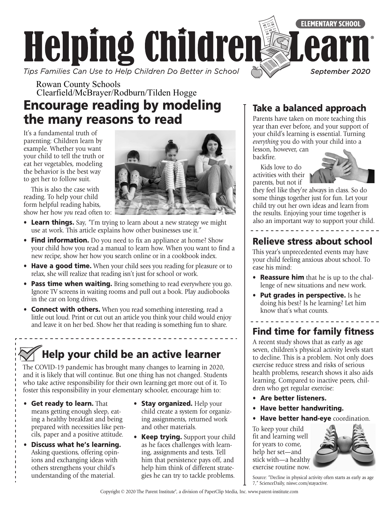

Rowan County Schools Clearfield/McBrayer/Rodburn/Tilden Hogge

## Encourage reading by modeling the many reasons to read

It's a fundamental truth of parenting: Children learn by example. Whether you want your child to tell the truth or eat her vegetables, modeling the behavior is the best way to get her to follow suit.



This is also the case with reading. To help your child form helpful reading habits, show her how *you* read often to:

- Learn things. Say, "I'm trying to learn about a new strategy we might use at work. This article explains how other businesses use it."
- Find information. Do you need to fix an appliance at home? Show your child how you read a manual to learn how. When you want to find a new recipe, show her how you search online or in a cookbook index.
- Have a good time. When your child sees you reading for pleasure or to relax, she will realize that reading isn't just for school or work.
- Pass time when waiting. Bring something to read everywhere you go. Ignore TV screens in waiting rooms and pull out a book. Play audiobooks in the car on long drives.
- Connect with others. When you read something interesting, read a little out loud. Print or cut out an article you think your child would enjoy and leave it on her bed. Show her that reading is something fun to share.

# Help your child be an active learner

The COVID-19 pandemic has brought many changes to learning in 2020, and it is likely that will continue. But one thing has not changed. Students who take active responsibility for their own learning get more out of it. To foster this responsibility in your elementary schooler, encourage him to:

- Get ready to learn. That means getting enough sleep, eating a healthy breakfast and being prepared with necessities like pencils, paper and a positive attitude.
- Discuss what he's learning. Asking questions, offering opinions and exchanging ideas with others strengthens your child's understanding of the material.
- Stay organized. Help your child create a system for organizing assignments, returned work and other materials.
- Keep trying. Support your child as he faces challenges with learning, assignments and tests. Tell him that persistence pays off, and help him think of different strategies he can try to tackle problems.

### Take a balanced approach

Parents have taken on more teaching this year than ever before, and your support of your child's learning is essential. Turning *everything* you do with your child into a

lesson, however, can backfire.

Kids love to do activities with their parents, but not if



they feel like they're always in class. So do some things together just for fun. Let your child try out her own ideas and learn from the results. Enjoying your time together is also an important way to support your child.

### Relieve stress about school

This year's unprecedented events may have your child feeling anxious about school. To ease his mind:

- **Reassure him** that he is up to the challenge of new situations and new work.
- Put grades in perspective. Is he doing his best? Is he learning? Let him know that's what counts.

## Find time for family fitness

A recent study shows that as early as age seven, children's physical activity levels start to decline. This is a problem. Not only does exercise reduce stress and risks of serious health problems, research shows it also aids learning. Compared to inactive peers, children who get regular exercise:

- Are better listeners.
- Have better handwriting.
- Have better hand-eye coordination.

To keep your child fit and learning well for years to come, help her set—and stick with—a healthy exercise routine now.



Source: "Decline in physical activity often starts as early as age 7," ScienceDaily, [niswc.com/stayactive.](http://niswc.com/stayactive)